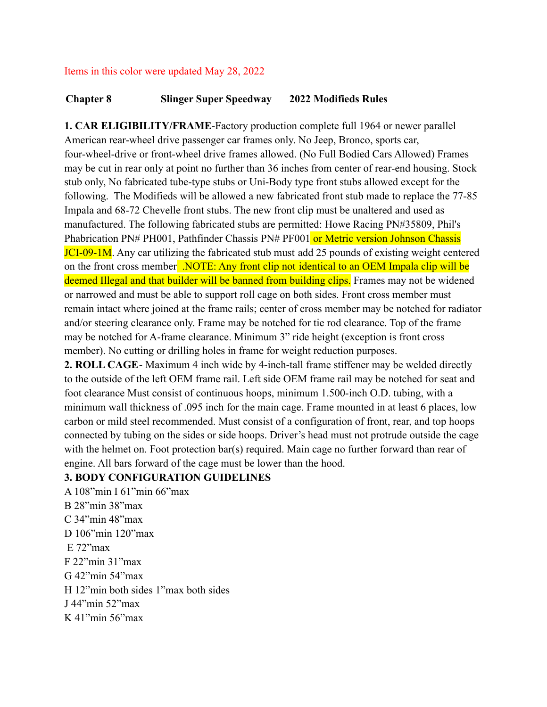#### Items in this color were updated May 28, 2022

### **Chapter 8 Slinger Super Speedway 2022 Modifieds Rules**

**1. CAR ELIGIBILITY/FRAME**-Factory production complete full 1964 or newer parallel American rear-wheel drive passenger car frames only. No Jeep, Bronco, sports car, four-wheel-drive or front-wheel drive frames allowed. (No Full Bodied Cars Allowed) Frames may be cut in rear only at point no further than 36 inches from center of rear-end housing. Stock stub only, No fabricated tube-type stubs or Uni-Body type front stubs allowed except for the following. The Modifieds will be allowed a new fabricated front stub made to replace the 77-85 Impala and 68-72 Chevelle front stubs. The new front clip must be unaltered and used as manufactured. The following fabricated stubs are permitted: Howe Racing PN#35809, Phil's Phabrication PN# PH001, Pathfinder Chassis PN# PF001 or Metric version Johnson Chassis JCI-09-1M. Any car utilizing the fabricated stub must add 25 pounds of existing weight centered on the front cross member .NOTE: Any front clip not identical to an OEM Impala clip will be deemed Illegal and that builder will be banned from building clips. Frames may not be widened or narrowed and must be able to support roll cage on both sides. Front cross member must remain intact where joined at the frame rails; center of cross member may be notched for radiator and/or steering clearance only. Frame may be notched for tie rod clearance. Top of the frame may be notched for A-frame clearance. Minimum 3" ride height (exception is front cross member). No cutting or drilling holes in frame for weight reduction purposes.

**2. ROLL CAGE**- Maximum 4 inch wide by 4-inch-tall frame stiffener may be welded directly to the outside of the left OEM frame rail. Left side OEM frame rail may be notched for seat and foot clearance Must consist of continuous hoops, minimum 1.500-inch O.D. tubing, with a minimum wall thickness of .095 inch for the main cage. Frame mounted in at least 6 places, low carbon or mild steel recommended. Must consist of a configuration of front, rear, and top hoops connected by tubing on the sides or side hoops. Driver's head must not protrude outside the cage with the helmet on. Foot protection bar(s) required. Main cage no further forward than rear of engine. All bars forward of the cage must be lower than the hood.

### **3. BODY CONFIGURATION GUIDELINES**

A 108"min I 61"min 66"max B 28"min 38"max C 34"min 48"max D 106"min 120"max  $E$  72 $\degree$ max F 22"min 31"max G 42"min 54"max H 12"min both sides 1"max both sides J 44"min 52"max K 41"min 56"max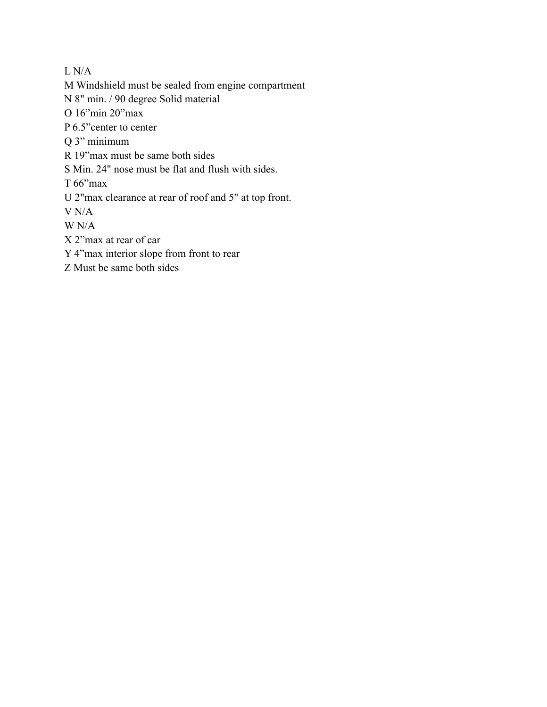L N/A

M Windshield must be sealed from engine compartment

N 8" min. / 90 degree Solid material

O 16"min 20"max

P 6.5"center to center

Q 3" minimum

R 19"max must be same both sides

S Min. 24" nose must be flat and flush with sides.

T 66"max

U 2"max clearance at rear of roof and 5" at top front.

V N/A

W N/A

X 2"max at rear of car

Y 4"max interior slope from front to rear

Z Must be same both sides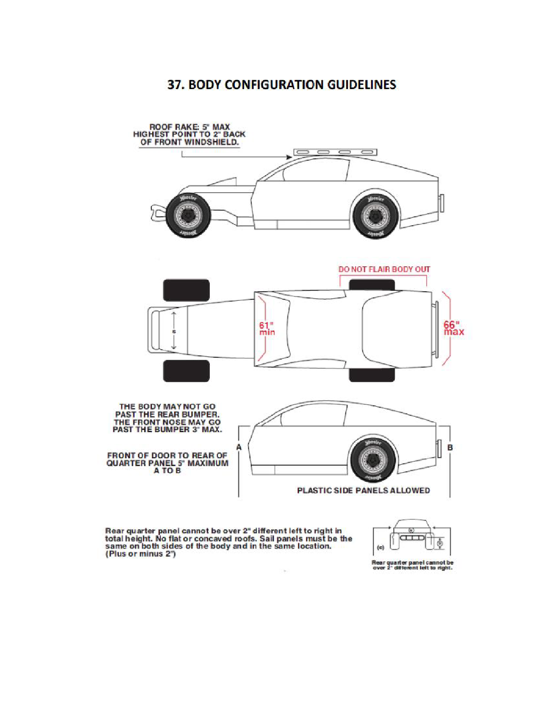# **37. BODY CONFIGURATION GUIDELINES**



 $\frac{1}{2}$ 

Rear quarter panel cannot be over 2" different left to right in<br>total height. No flat or concaved roofs. Sail panels must be the<br>same on both sides of the body and in the same location.<br>(Plus or minus 2")



Rear quarter panel cannot be<br>over 2" different left to right.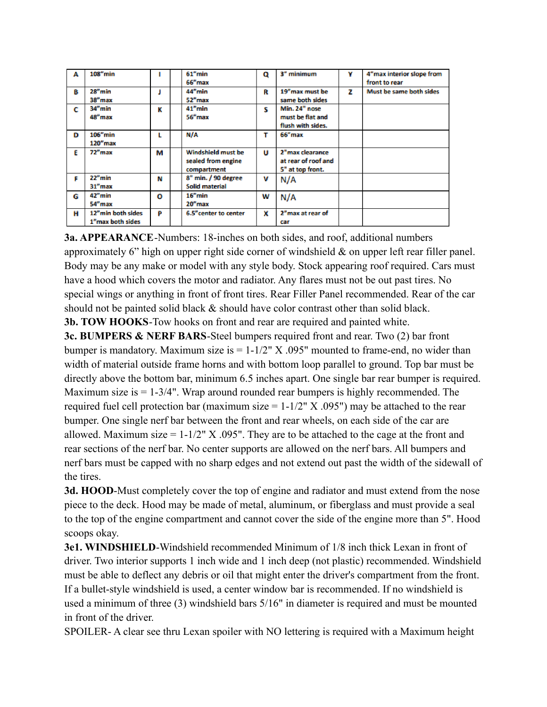| А | $108"$ min              |   | $61''$ min            | Q | 3" minimum          | ٧ | 4"max interior slope from |
|---|-------------------------|---|-----------------------|---|---------------------|---|---------------------------|
|   |                         |   | 66"max                |   |                     |   | front to rear             |
| в | 28"min                  |   | 44"min                | R | 19"max must be      | z | Must be same both sides   |
|   | 38"max                  |   | 52"max                |   | same both sides     |   |                           |
| c | 34"min                  | к | $41u$ min             | s | Min. 24" nose       |   |                           |
|   | 48"max                  |   | 56"max                |   | must be flat and    |   |                           |
|   |                         |   |                       |   | flush with sides.   |   |                           |
| D | $106$ "min              | L | N/A                   | т | 66"max              |   |                           |
|   | 120"max                 |   |                       |   |                     |   |                           |
| F | $72n$ max               | м | Windshield must be    | U | 2"max clearance     |   |                           |
|   |                         |   | sealed from engine    |   | at rear of roof and |   |                           |
|   |                         |   | compartment           |   | 5" at top front.    |   |                           |
| F | $22n$ min               | м | 8" min. / 90 degree   | v | N/A                 |   |                           |
|   | 31"max                  |   | Solid material        |   |                     |   |                           |
| G | $42^{\prime\prime}$ min | o | $16''$ min            | w | N/A                 |   |                           |
|   | 54"max                  |   | 20"max                |   |                     |   |                           |
| н | 12"min both sides       | P | 6.5" center to center | x | 2"max at rear of    |   |                           |
|   | 1"max both sides        |   |                       |   | car                 |   |                           |

**3a. APPEARANCE**-Numbers: 18-inches on both sides, and roof, additional numbers approximately 6" high on upper right side corner of windshield & on upper left rear filler panel. Body may be any make or model with any style body. Stock appearing roof required. Cars must have a hood which covers the motor and radiator. Any flares must not be out past tires. No special wings or anything in front of front tires. Rear Filler Panel recommended. Rear of the car should not be painted solid black  $\&$  should have color contrast other than solid black. **3b. TOW HOOKS**-Tow hooks on front and rear are required and painted white.

**3c. BUMPERS & NERF BARS**-Steel bumpers required front and rear. Two (2) bar front bumper is mandatory. Maximum size is  $= 1-1/2$ " X .095" mounted to frame-end, no wider than width of material outside frame horns and with bottom loop parallel to ground. Top bar must be directly above the bottom bar, minimum 6.5 inches apart. One single bar rear bumper is required. Maximum size is  $= 1-3/4$ ". Wrap around rounded rear bumpers is highly recommended. The required fuel cell protection bar (maximum size  $= 1-1/2$ " X .095") may be attached to the rear bumper. One single nerf bar between the front and rear wheels, on each side of the car are allowed. Maximum size  $= 1-1/2$ " X .095". They are to be attached to the cage at the front and rear sections of the nerf bar. No center supports are allowed on the nerf bars. All bumpers and nerf bars must be capped with no sharp edges and not extend out past the width of the sidewall of the tires.

**3d. HOOD**-Must completely cover the top of engine and radiator and must extend from the nose piece to the deck. Hood may be made of metal, aluminum, or fiberglass and must provide a seal to the top of the engine compartment and cannot cover the side of the engine more than 5". Hood scoops okay.

**3e1. WINDSHIELD**-Windshield recommended Minimum of 1/8 inch thick Lexan in front of driver. Two interior supports 1 inch wide and 1 inch deep (not plastic) recommended. Windshield must be able to deflect any debris or oil that might enter the driver's compartment from the front. If a bullet-style windshield is used, a center window bar is recommended. If no windshield is used a minimum of three (3) windshield bars 5/16" in diameter is required and must be mounted in front of the driver.

SPOILER- A clear see thru Lexan spoiler with NO lettering is required with a Maximum height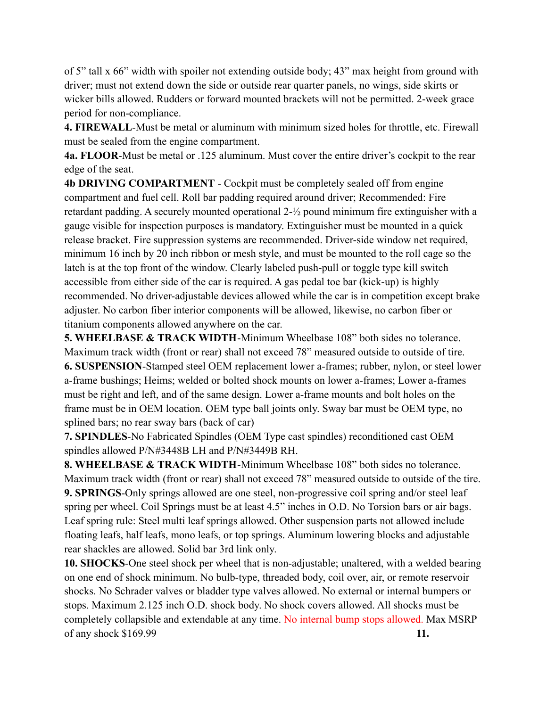of 5" tall x 66" width with spoiler not extending outside body; 43" max height from ground with driver; must not extend down the side or outside rear quarter panels, no wings, side skirts or wicker bills allowed. Rudders or forward mounted brackets will not be permitted. 2-week grace period for non-compliance.

**4. FIREWALL**-Must be metal or aluminum with minimum sized holes for throttle, etc. Firewall must be sealed from the engine compartment.

**4a. FLOOR**-Must be metal or .125 aluminum. Must cover the entire driver's cockpit to the rear edge of the seat.

**4b DRIVING COMPARTMENT** - Cockpit must be completely sealed off from engine compartment and fuel cell. Roll bar padding required around driver; Recommended: Fire retardant padding. A securely mounted operational 2-½ pound minimum fire extinguisher with a gauge visible for inspection purposes is mandatory. Extinguisher must be mounted in a quick release bracket. Fire suppression systems are recommended. Driver-side window net required, minimum 16 inch by 20 inch ribbon or mesh style, and must be mounted to the roll cage so the latch is at the top front of the window. Clearly labeled push-pull or toggle type kill switch accessible from either side of the car is required. A gas pedal toe bar (kick-up) is highly recommended. No driver-adjustable devices allowed while the car is in competition except brake adjuster. No carbon fiber interior components will be allowed, likewise, no carbon fiber or titanium components allowed anywhere on the car.

**5. WHEELBASE & TRACK WIDTH**-Minimum Wheelbase 108" both sides no tolerance. Maximum track width (front or rear) shall not exceed 78" measured outside to outside of tire. **6. SUSPENSION**-Stamped steel OEM replacement lower a-frames; rubber, nylon, or steel lower a-frame bushings; Heims; welded or bolted shock mounts on lower a-frames; Lower a-frames must be right and left, and of the same design. Lower a-frame mounts and bolt holes on the frame must be in OEM location. OEM type ball joints only. Sway bar must be OEM type, no splined bars; no rear sway bars (back of car)

**7. SPINDLES**-No Fabricated Spindles (OEM Type cast spindles) reconditioned cast OEM spindles allowed P/N#3448B LH and P/N#3449B RH.

**8. WHEELBASE & TRACK WIDTH**-Minimum Wheelbase 108" both sides no tolerance. Maximum track width (front or rear) shall not exceed 78" measured outside to outside of the tire. **9. SPRINGS**-Only springs allowed are one steel, non-progressive coil spring and/or steel leaf spring per wheel. Coil Springs must be at least 4.5" inches in O.D. No Torsion bars or air bags. Leaf spring rule: Steel multi leaf springs allowed. Other suspension parts not allowed include floating leafs, half leafs, mono leafs, or top springs. Aluminum lowering blocks and adjustable rear shackles are allowed. Solid bar 3rd link only.

**10. SHOCKS**-One steel shock per wheel that is non-adjustable; unaltered, with a welded bearing on one end of shock minimum. No bulb-type, threaded body, coil over, air, or remote reservoir shocks. No Schrader valves or bladder type valves allowed. No external or internal bumpers or stops. Maximum 2.125 inch O.D. shock body. No shock covers allowed. All shocks must be completely collapsible and extendable at any time. No internal bump stops allowed. Max MSRP of any shock \$169.99 **11.**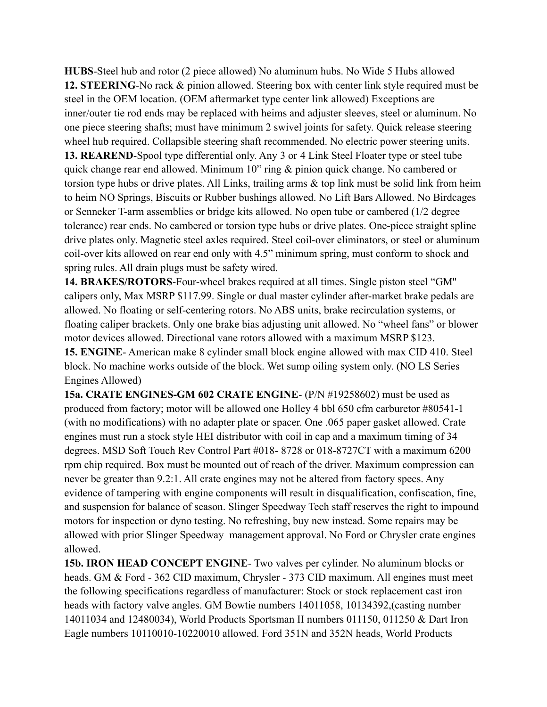**HUBS**-Steel hub and rotor (2 piece allowed) No aluminum hubs. No Wide 5 Hubs allowed **12. STEERING**-No rack & pinion allowed. Steering box with center link style required must be steel in the OEM location. (OEM aftermarket type center link allowed) Exceptions are inner/outer tie rod ends may be replaced with heims and adjuster sleeves, steel or aluminum. No one piece steering shafts; must have minimum 2 swivel joints for safety. Quick release steering wheel hub required. Collapsible steering shaft recommended. No electric power steering units. **13. REAREND**-Spool type differential only. Any 3 or 4 Link Steel Floater type or steel tube quick change rear end allowed. Minimum 10" ring & pinion quick change. No cambered or torsion type hubs or drive plates. All Links, trailing arms & top link must be solid link from heim to heim NO Springs, Biscuits or Rubber bushings allowed. No Lift Bars Allowed. No Birdcages or Senneker T-arm assemblies or bridge kits allowed. No open tube or cambered (1/2 degree tolerance) rear ends. No cambered or torsion type hubs or drive plates. One-piece straight spline drive plates only. Magnetic steel axles required. Steel coil-over eliminators, or steel or aluminum coil-over kits allowed on rear end only with 4.5" minimum spring, must conform to shock and spring rules. All drain plugs must be safety wired.

**14. BRAKES/ROTORS**-Four-wheel brakes required at all times. Single piston steel "GM'' calipers only, Max MSRP \$117.99. Single or dual master cylinder after-market brake pedals are allowed. No floating or self-centering rotors. No ABS units, brake recirculation systems, or floating caliper brackets. Only one brake bias adjusting unit allowed. No "wheel fans" or blower motor devices allowed. Directional vane rotors allowed with a maximum MSRP \$123. **15. ENGINE**- American make 8 cylinder small block engine allowed with max CID 410. Steel block. No machine works outside of the block. Wet sump oiling system only. (NO LS Series Engines Allowed)

**15a. CRATE ENGINES-GM 602 CRATE ENGINE**- (P/N #19258602) must be used as produced from factory; motor will be allowed one Holley 4 bbl 650 cfm carburetor #80541-1 (with no modifications) with no adapter plate or spacer. One .065 paper gasket allowed. Crate engines must run a stock style HEI distributor with coil in cap and a maximum timing of 34 degrees. MSD Soft Touch Rev Control Part #018- 8728 or 018-8727CT with a maximum 6200 rpm chip required. Box must be mounted out of reach of the driver. Maximum compression can never be greater than 9.2:1. All crate engines may not be altered from factory specs. Any evidence of tampering with engine components will result in disqualification, confiscation, fine, and suspension for balance of season. Slinger Speedway Tech staff reserves the right to impound motors for inspection or dyno testing. No refreshing, buy new instead. Some repairs may be allowed with prior Slinger Speedway management approval. No Ford or Chrysler crate engines allowed.

**15b. IRON HEAD CONCEPT ENGINE**- Two valves per cylinder. No aluminum blocks or heads. GM & Ford - 362 CID maximum, Chrysler - 373 CID maximum. All engines must meet the following specifications regardless of manufacturer: Stock or stock replacement cast iron heads with factory valve angles. GM Bowtie numbers 14011058, 10134392,(casting number 14011034 and 12480034), World Products Sportsman II numbers 011150, 011250 & Dart Iron Eagle numbers 10110010-10220010 allowed. Ford 351N and 352N heads, World Products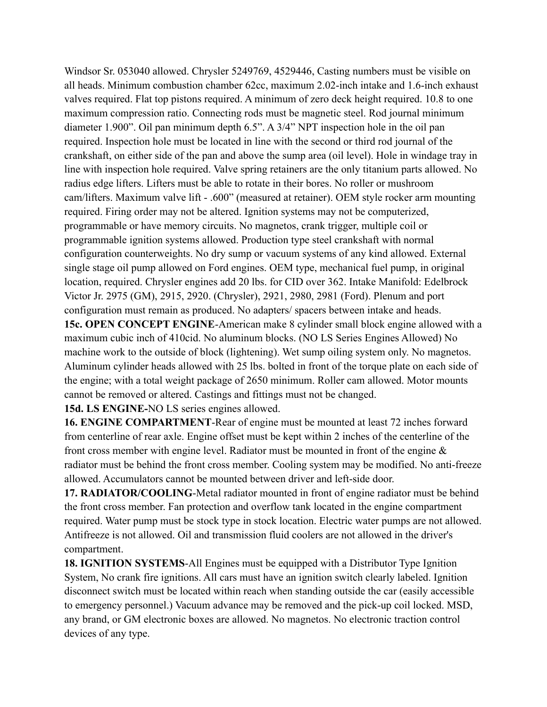Windsor Sr. 053040 allowed. Chrysler 5249769, 4529446, Casting numbers must be visible on all heads. Minimum combustion chamber 62cc, maximum 2.02-inch intake and 1.6-inch exhaust valves required. Flat top pistons required. A minimum of zero deck height required. 10.8 to one maximum compression ratio. Connecting rods must be magnetic steel. Rod journal minimum diameter 1.900". Oil pan minimum depth 6.5". A 3/4" NPT inspection hole in the oil pan required. Inspection hole must be located in line with the second or third rod journal of the crankshaft, on either side of the pan and above the sump area (oil level). Hole in windage tray in line with inspection hole required. Valve spring retainers are the only titanium parts allowed. No radius edge lifters. Lifters must be able to rotate in their bores. No roller or mushroom cam/lifters. Maximum valve lift - .600" (measured at retainer). OEM style rocker arm mounting required. Firing order may not be altered. Ignition systems may not be computerized, programmable or have memory circuits. No magnetos, crank trigger, multiple coil or programmable ignition systems allowed. Production type steel crankshaft with normal configuration counterweights. No dry sump or vacuum systems of any kind allowed. External single stage oil pump allowed on Ford engines. OEM type, mechanical fuel pump, in original location, required. Chrysler engines add 20 lbs. for CID over 362. Intake Manifold: Edelbrock Victor Jr. 2975 (GM), 2915, 2920. (Chrysler), 2921, 2980, 2981 (Ford). Plenum and port configuration must remain as produced. No adapters/ spacers between intake and heads. **15c. OPEN CONCEPT ENGINE**-American make 8 cylinder small block engine allowed with a maximum cubic inch of 410cid. No aluminum blocks. (NO LS Series Engines Allowed) No machine work to the outside of block (lightening). Wet sump oiling system only. No magnetos.

Aluminum cylinder heads allowed with 25 lbs. bolted in front of the torque plate on each side of the engine; with a total weight package of 2650 minimum. Roller cam allowed. Motor mounts cannot be removed or altered. Castings and fittings must not be changed.

**15d. LS ENGINE-**NO LS series engines allowed.

**16. ENGINE COMPARTMENT**-Rear of engine must be mounted at least 72 inches forward from centerline of rear axle. Engine offset must be kept within 2 inches of the centerline of the front cross member with engine level. Radiator must be mounted in front of the engine & radiator must be behind the front cross member. Cooling system may be modified. No anti-freeze allowed. Accumulators cannot be mounted between driver and left-side door.

**17. RADIATOR/COOLING**-Metal radiator mounted in front of engine radiator must be behind the front cross member. Fan protection and overflow tank located in the engine compartment required. Water pump must be stock type in stock location. Electric water pumps are not allowed. Antifreeze is not allowed. Oil and transmission fluid coolers are not allowed in the driver's compartment.

**18. IGNITION SYSTEMS**-All Engines must be equipped with a Distributor Type Ignition System, No crank fire ignitions. All cars must have an ignition switch clearly labeled. Ignition disconnect switch must be located within reach when standing outside the car (easily accessible to emergency personnel.) Vacuum advance may be removed and the pick-up coil locked. MSD, any brand, or GM electronic boxes are allowed. No magnetos. No electronic traction control devices of any type.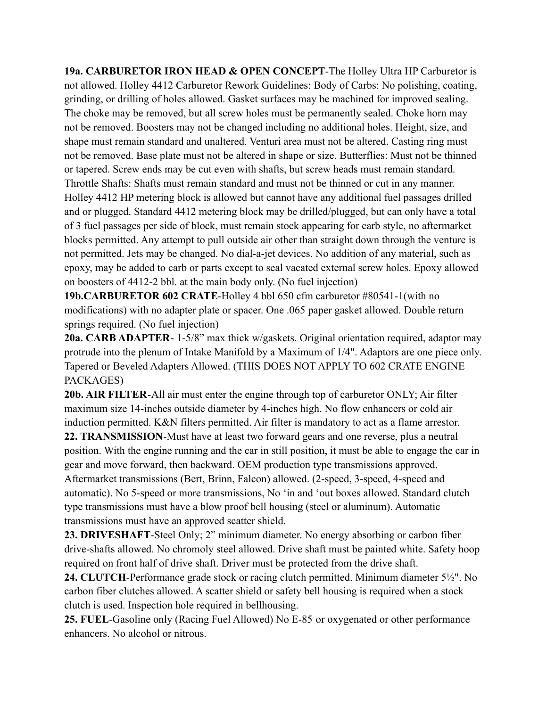**19a. CARBURETOR IRON HEAD & OPEN CONCEPT**-The Holley Ultra HP Carburetor is not allowed. Holley 4412 Carburetor Rework Guidelines: Body of Carbs: No polishing, coating, grinding, or drilling of holes allowed. Gasket surfaces may be machined for improved sealing. The choke may be removed, but all screw holes must be permanently sealed. Choke horn may not be removed. Boosters may not be changed including no additional holes. Height, size, and shape must remain standard and unaltered. Venturi area must not be altered. Casting ring must not be removed. Base plate must not be altered in shape or size. Butterflies: Must not be thinned or tapered. Screw ends may be cut even with shafts, but screw heads must remain standard. Throttle Shafts: Shafts must remain standard and must not be thinned or cut in any manner. Holley 4412 HP metering block is allowed but cannot have any additional fuel passages drilled and or plugged. Standard 4412 metering block may be drilled/plugged, but can only have a total of 3 fuel passages per side of block, must remain stock appearing for carb style, no aftermarket blocks permitted. Any attempt to pull outside air other than straight down through the venture is not permitted. Jets may be changed. No dial-a-jet devices. No addition of any material, such as epoxy, may be added to carb or parts except to seal vacated external screw holes. Epoxy allowed on boosters of 4412-2 bbl. at the main body only. (No fuel injection)

**19b.CARBURETOR 602 CRATE**-Holley 4 bbl 650 cfm carburetor #80541-1(with no modifications) with no adapter plate or spacer. One .065 paper gasket allowed. Double return springs required. (No fuel injection)

**20a. CARB ADAPTER**- 1-5/8" max thick w/gaskets. Original orientation required, adaptor may protrude into the plenum of Intake Manifold by a Maximum of 1/4". Adaptors are one piece only. Tapered or Beveled Adapters Allowed. (THIS DOES NOT APPLY TO 602 CRATE ENGINE PACKAGES)

**20b. AIR FILTER**-All air must enter the engine through top of carburetor ONLY; Air filter maximum size 14-inches outside diameter by 4-inches high. No flow enhancers or cold air induction permitted. K&N filters permitted. Air filter is mandatory to act as a flame arrestor.

**22. TRANSMISSION**-Must have at least two forward gears and one reverse, plus a neutral position. With the engine running and the car in still position, it must be able to engage the car in gear and move forward, then backward. OEM production type transmissions approved. Aftermarket transmissions (Bert, Brinn, Falcon) allowed. (2-speed, 3-speed, 4-speed and automatic). No 5-speed or more transmissions, No 'in and 'out boxes allowed. Standard clutch type transmissions must have a blow proof bell housing (steel or aluminum). Automatic transmissions must have an approved scatter shield.

**23. DRIVESHAFT**-Steel Only; 2" minimum diameter. No energy absorbing or carbon fiber drive-shafts allowed. No chromoly steel allowed. Drive shaft must be painted white. Safety hoop required on front half of drive shaft. Driver must be protected from the drive shaft.

**24. CLUTCH**-Performance grade stock or racing clutch permitted. Minimum diameter 5½". No carbon fiber clutches allowed. A scatter shield or safety bell housing is required when a stock clutch is used. Inspection hole required in bellhousing.

**25. FUEL**-Gasoline only (Racing Fuel Allowed) No E-85 or oxygenated or other performance enhancers. No alcohol or nitrous.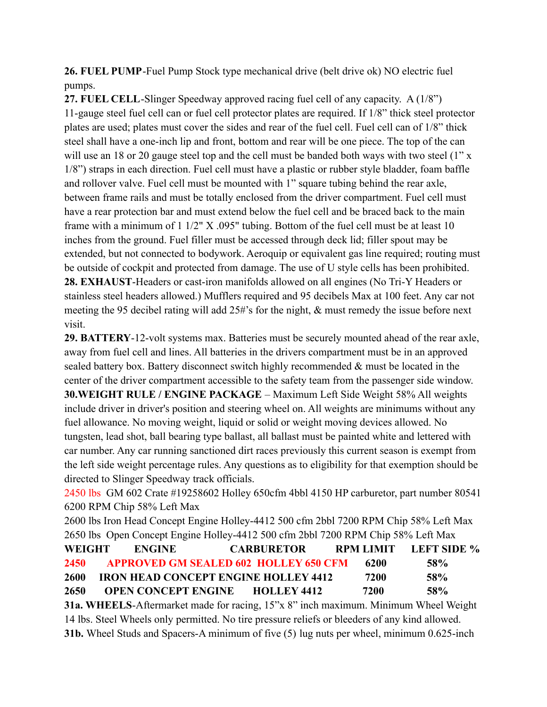**26. FUEL PUMP**-Fuel Pump Stock type mechanical drive (belt drive ok) NO electric fuel pumps.

**27. FUEL CELL**-Slinger Speedway approved racing fuel cell of any capacity. A (1/8") 11-gauge steel fuel cell can or fuel cell protector plates are required. If 1/8" thick steel protector plates are used; plates must cover the sides and rear of the fuel cell. Fuel cell can of 1/8" thick steel shall have a one-inch lip and front, bottom and rear will be one piece. The top of the can will use an 18 or 20 gauge steel top and the cell must be banded both ways with two steel (1" x 1/8") straps in each direction. Fuel cell must have a plastic or rubber style bladder, foam baffle and rollover valve. Fuel cell must be mounted with 1" square tubing behind the rear axle, between frame rails and must be totally enclosed from the driver compartment. Fuel cell must have a rear protection bar and must extend below the fuel cell and be braced back to the main frame with a minimum of 1 1/2" X .095" tubing. Bottom of the fuel cell must be at least 10 inches from the ground. Fuel filler must be accessed through deck lid; filler spout may be extended, but not connected to bodywork. Aeroquip or equivalent gas line required; routing must be outside of cockpit and protected from damage. The use of U style cells has been prohibited. **28. EXHAUST**-Headers or cast-iron manifolds allowed on all engines (No Tri-Y Headers or stainless steel headers allowed.) Mufflers required and 95 decibels Max at 100 feet. Any car not meeting the 95 decibel rating will add 25#'s for the night, & must remedy the issue before next visit.

**29. BATTERY**-12-volt systems max. Batteries must be securely mounted ahead of the rear axle, away from fuel cell and lines. All batteries in the drivers compartment must be in an approved sealed battery box. Battery disconnect switch highly recommended & must be located in the center of the driver compartment accessible to the safety team from the passenger side window. **30.WEIGHT RULE / ENGINE PACKAGE** – Maximum Left Side Weight 58% All weights include driver in driver's position and steering wheel on. All weights are minimums without any fuel allowance. No moving weight, liquid or solid or weight moving devices allowed. No tungsten, lead shot, ball bearing type ballast, all ballast must be painted white and lettered with car number. Any car running sanctioned dirt races previously this current season is exempt from the left side weight percentage rules. Any questions as to eligibility for that exemption should be directed to Slinger Speedway track officials.

2450 lbs GM 602 Crate #19258602 Holley 650cfm 4bbl 4150 HP carburetor, part number 80541 6200 RPM Chip 58% Left Max

2600 lbs Iron Head Concept Engine Holley-4412 500 cfm 2bbl 7200 RPM Chip 58% Left Max 2650 lbs Open Concept Engine Holley-4412 500 cfm 2bbl 7200 RPM Chip 58% Left Max

| <b>WEIGHT</b> | <b>ENGINE</b>              | <b>CARBURETOR</b>                            | <b>RPM LIMIT</b> | LEFT SIDE % |
|---------------|----------------------------|----------------------------------------------|------------------|-------------|
| <b>2450</b>   |                            | <b>APPROVED GM SEALED 602 HOLLEY 650 CFM</b> | -6200            | 58%         |
| 2600          |                            | <b>IRON HEAD CONCEPT ENGINE HOLLEY 4412</b>  | 7200             | 58%         |
| 2650          | <b>OPEN CONCEPT ENGINE</b> | <b>HOLLEY 4412</b>                           | 7200             | 58%         |
|               |                            |                                              |                  |             |

**31a. WHEELS**-Aftermarket made for racing, 15"x 8" inch maximum. Minimum Wheel Weight 14 lbs. Steel Wheels only permitted. No tire pressure reliefs or bleeders of any kind allowed. **31b.** Wheel Studs and Spacers-A minimum of five (5) lug nuts per wheel, minimum 0.625-inch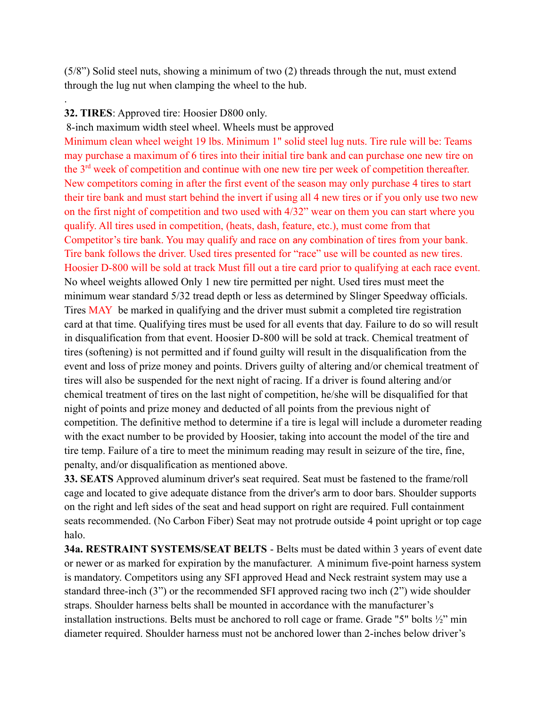(5/8") Solid steel nuts, showing a minimum of two (2) threads through the nut, must extend through the lug nut when clamping the wheel to the hub.

## **32. TIRES**: Approved tire: Hoosier D800 only.

.

8-inch maximum width steel wheel. Wheels must be approved Minimum clean wheel weight 19 lbs. Minimum 1" solid steel lug nuts. Tire rule will be: Teams may purchase a maximum of 6 tires into their initial tire bank and can purchase one new tire on the 3rd week of competition and continue with one new tire per week of competition thereafter. New competitors coming in after the first event of the season may only purchase 4 tires to start their tire bank and must start behind the invert if using all 4 new tires or if you only use two new on the first night of competition and two used with 4/32" wear on them you can start where you qualify. All tires used in competition, (heats, dash, feature, etc.), must come from that Competitor's tire bank. You may qualify and race on any combination of tires from your bank. Tire bank follows the driver. Used tires presented for "race" use will be counted as new tires. Hoosier D-800 will be sold at track Must fill out a tire card prior to qualifying at each race event. No wheel weights allowed Only 1 new tire permitted per night. Used tires must meet the minimum wear standard 5/32 tread depth or less as determined by Slinger Speedway officials. Tires MAY be marked in qualifying and the driver must submit a completed tire registration card at that time. Qualifying tires must be used for all events that day. Failure to do so will result in disqualification from that event. Hoosier D-800 will be sold at track. Chemical treatment of tires (softening) is not permitted and if found guilty will result in the disqualification from the event and loss of prize money and points. Drivers guilty of altering and/or chemical treatment of tires will also be suspended for the next night of racing. If a driver is found altering and/or chemical treatment of tires on the last night of competition, he/she will be disqualified for that night of points and prize money and deducted of all points from the previous night of competition. The definitive method to determine if a tire is legal will include a durometer reading with the exact number to be provided by Hoosier, taking into account the model of the tire and tire temp. Failure of a tire to meet the minimum reading may result in seizure of the tire, fine, penalty, and/or disqualification as mentioned above.

**33. SEATS** Approved aluminum driver's seat required. Seat must be fastened to the frame/roll cage and located to give adequate distance from the driver's arm to door bars. Shoulder supports on the right and left sides of the seat and head support on right are required. Full containment seats recommended. (No Carbon Fiber) Seat may not protrude outside 4 point upright or top cage halo.

**34a. RESTRAINT SYSTEMS/SEAT BELTS** - Belts must be dated within 3 years of event date or newer or as marked for expiration by the manufacturer. A minimum five-point harness system is mandatory. Competitors using any SFI approved Head and Neck restraint system may use a standard three-inch (3") or the recommended SFI approved racing two inch (2") wide shoulder straps. Shoulder harness belts shall be mounted in accordance with the manufacturer's installation instructions. Belts must be anchored to roll cage or frame. Grade "5" bolts ½" min diameter required. Shoulder harness must not be anchored lower than 2-inches below driver's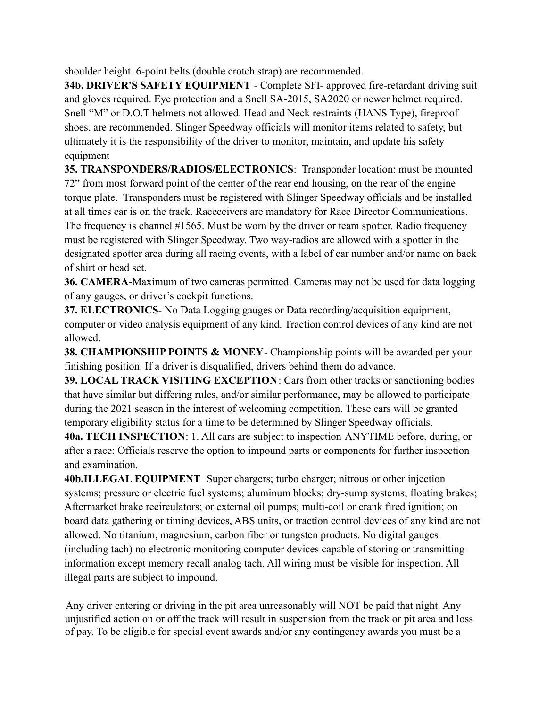shoulder height. 6-point belts (double crotch strap) are recommended.

**34b. DRIVER'S SAFETY EQUIPMENT - Complete SFI- approved fire-retardant driving suit** and gloves required. Eye protection and a Snell SA-2015, SA2020 or newer helmet required. Snell "M" or D.O.T helmets not allowed. Head and Neck restraints (HANS Type), fireproof shoes, are recommended. Slinger Speedway officials will monitor items related to safety, but ultimately it is the responsibility of the driver to monitor, maintain, and update his safety equipment

**35. TRANSPONDERS/RADIOS/ELECTRONICS**: Transponder location: must be mounted 72" from most forward point of the center of the rear end housing, on the rear of the engine torque plate. Transponders must be registered with Slinger Speedway officials and be installed at all times car is on the track. Raceceivers are mandatory for Race Director Communications. The frequency is channel #1565. Must be worn by the driver or team spotter. Radio frequency must be registered with Slinger Speedway. Two way-radios are allowed with a spotter in the designated spotter area during all racing events, with a label of car number and/or name on back of shirt or head set.

**36. CAMERA**-Maximum of two cameras permitted. Cameras may not be used for data logging of any gauges, or driver's cockpit functions.

**37. ELECTRONICS**- No Data Logging gauges or Data recording/acquisition equipment, computer or video analysis equipment of any kind. Traction control devices of any kind are not allowed.

**38. CHAMPIONSHIP POINTS & MONEY**- Championship points will be awarded per your finishing position. If a driver is disqualified, drivers behind them do advance.

**39. LOCAL TRACK VISITING EXCEPTION**: Cars from other tracks or sanctioning bodies that have similar but differing rules, and/or similar performance, may be allowed to participate during the 2021 season in the interest of welcoming competition. These cars will be granted temporary eligibility status for a time to be determined by Slinger Speedway officials.

**40a. TECH INSPECTION**: 1. All cars are subject to inspection ANYTIME before, during, or after a race; Officials reserve the option to impound parts or components for further inspection and examination.

**40b.ILLEGAL EQUIPMENT** Super chargers; turbo charger; nitrous or other injection systems; pressure or electric fuel systems; aluminum blocks; dry-sump systems; floating brakes; Aftermarket brake recirculators; or external oil pumps; multi-coil or crank fired ignition; on board data gathering or timing devices, ABS units, or traction control devices of any kind are not allowed. No titanium, magnesium, carbon fiber or tungsten products. No digital gauges (including tach) no electronic monitoring computer devices capable of storing or transmitting information except memory recall analog tach. All wiring must be visible for inspection. All illegal parts are subject to impound.

Any driver entering or driving in the pit area unreasonably will NOT be paid that night. Any unjustified action on or off the track will result in suspension from the track or pit area and loss of pay. To be eligible for special event awards and/or any contingency awards you must be a